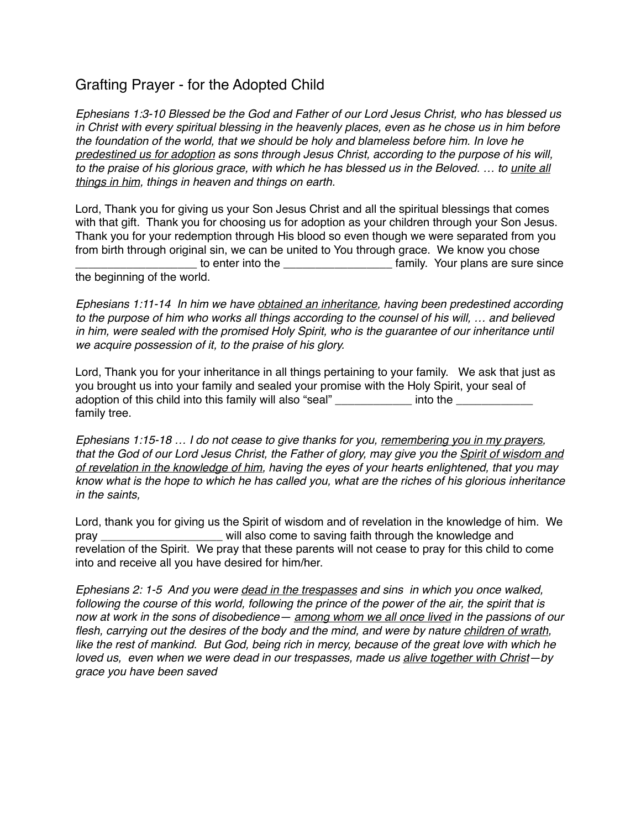## Grafting Prayer - for the Adopted Child

*Ephesians 1:3-10 Blessed be the God and Father of our Lord Jesus Christ, who has blessed us in Christ with every spiritual blessing in the heavenly places, even as he chose us in him before the foundation of the world, that we should be holy and blameless before him. In love he predestined us for adoption as sons through Jesus Christ, according to the purpose of his will, to the praise of his glorious grace, with which he has blessed us in the Beloved. … to unite all things in him, things in heaven and things on earth.*

Lord, Thank you for giving us your Son Jesus Christ and all the spiritual blessings that comes with that gift. Thank you for choosing us for adoption as your children through your Son Jesus. Thank you for your redemption through His blood so even though we were separated from you from birth through original sin, we can be united to You through grace. We know you chose \_ to enter into the \_\_\_\_\_\_\_\_\_\_\_\_\_\_\_\_\_\_\_\_\_\_ family. Your plans are sure since the beginning of the world.

*Ephesians 1:11-14 In him we have obtained an inheritance, having been predestined according to the purpose of him who works all things according to the counsel of his will, … and believed*  in him, were sealed with the promised Holy Spirit, who is the guarantee of our inheritance until *we acquire possession of it, to the praise of his glory.*

Lord, Thank you for your inheritance in all things pertaining to your family. We ask that just as you brought us into your family and sealed your promise with the Holy Spirit, your seal of adoption of this child into this family will also "seal" **Example 20** into the family tree.

*Ephesians 1:15-18 … I do not cease to give thanks for you, remembering you in my prayers, that the God of our Lord Jesus Christ, the Father of glory, may give you the Spirit of wisdom and of revelation in the knowledge of him, having the eyes of your hearts enlightened, that you may know what is the hope to which he has called you, what are the riches of his glorious inheritance in the saints,*

Lord, thank you for giving us the Spirit of wisdom and of revelation in the knowledge of him. We pray \_\_\_\_\_\_\_\_\_\_\_\_\_\_\_\_\_\_\_ will also come to saving faith through the knowledge and revelation of the Spirit. We pray that these parents will not cease to pray for this child to come into and receive all you have desired for him/her.

*Ephesians 2: 1-5 And you were dead in the trespasses and sins in which you once walked, following the course of this world, following the prince of the power of the air, the spirit that is now at work in the sons of disobedience— among whom we all once lived in the passions of our flesh, carrying out the desires of the body and the mind, and were by nature children of wrath, like the rest of mankind. But God, being rich in mercy, because of the great love with which he loved us, even when we were dead in our trespasses, made us alive together with Christ—by grace you have been saved*